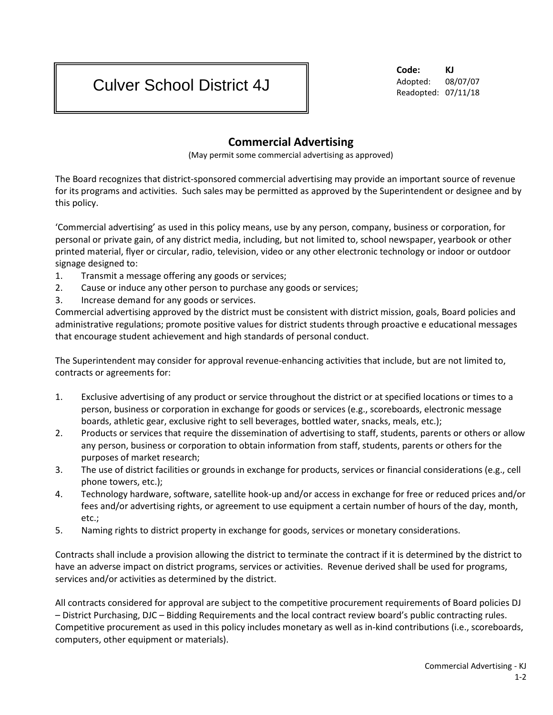## Culver School District 4J

**Code: KJ** Adopted: 08/07/07 Readopted: 07/11/18

## **Commercial Advertising**

(May permit some commercial advertising as approved)

The Board recognizes that district-sponsored commercial advertising may provide an important source of revenue for its programs and activities. Such sales may be permitted as approved by the Superintendent or designee and by this policy.

'Commercial advertising' as used in this policy means, use by any person, company, business or corporation, for personal or private gain, of any district media, including, but not limited to, school newspaper, yearbook or other printed material, flyer or circular, radio, television, video or any other electronic technology or indoor or outdoor signage designed to:

- 1. Transmit a message offering any goods or services;
- 2. Cause or induce any other person to purchase any goods or services;
- 3. Increase demand for any goods or services.

Commercial advertising approved by the district must be consistent with district mission, goals, Board policies and administrative regulations; promote positive values for district students through proactive e educational messages that encourage student achievement and high standards of personal conduct.

The Superintendent may consider for approval revenue-enhancing activities that include, but are not limited to, contracts or agreements for:

- 1. Exclusive advertising of any product or service throughout the district or at specified locations or times to a person, business or corporation in exchange for goods or services (e.g., scoreboards, electronic message boards, athletic gear, exclusive right to sell beverages, bottled water, snacks, meals, etc.);
- 2. Products or services that require the dissemination of advertising to staff, students, parents or others or allow any person, business or corporation to obtain information from staff, students, parents or others for the purposes of market research;
- 3. The use of district facilities or grounds in exchange for products, services or financial considerations (e.g., cell phone towers, etc.);
- 4. Technology hardware, software, satellite hook-up and/or access in exchange for free or reduced prices and/or fees and/or advertising rights, or agreement to use equipment a certain number of hours of the day, month, etc.;
- 5. Naming rights to district property in exchange for goods, services or monetary considerations.

Contracts shall include a provision allowing the district to terminate the contract if it is determined by the district to have an adverse impact on district programs, services or activities. Revenue derived shall be used for programs, services and/or activities as determined by the district.

All contracts considered for approval are subject to the competitive procurement requirements of Board policies DJ – District Purchasing, DJC – Bidding Requirements and the local contract review board's public contracting rules. Competitive procurement as used in this policy includes monetary as well as in-kind contributions (i.e., scoreboards, computers, other equipment or materials).